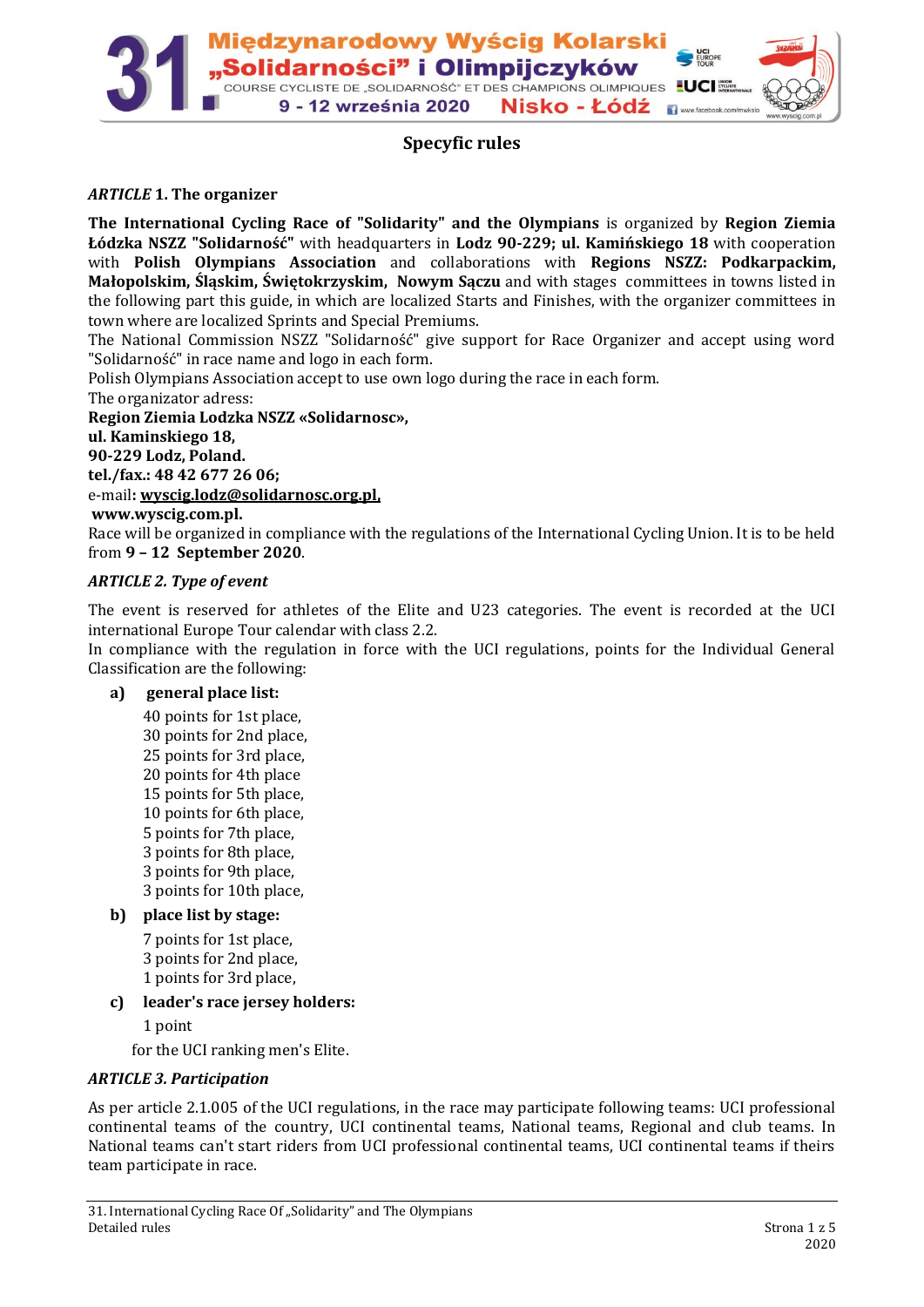

# **Specyfic rules**

### *ARTICLE* **1. The organizer**

**The International Cycling Race of "Solidarity" and the Olympians** is organized by **Region Ziemia Łódzka NSZZ "Solidarność"** with headquarters in **Lodz 90-229; ul. Kamińskiego 18** with cooperation with **Polish Olympians Association** and collaborations with **Regions NSZZ: Podkarpackim, Małopolskim, Śląskim, Świętokrzyskim, Nowym Sączu** and with stages committees in towns listed in the following part this guide, in which are localized Starts and Finishes, with the organizer committees in town where are localized Sprints and Special Premiums.

The National Commission NSZZ "Solidarność" give support for Race Organizer and accept using word "Solidarność" in race name and logo in each form.

Polish Olympians Association accept to use own logo during the race in each form.

The organizator adress:

**Region Ziemia Lodzka NSZZ «Solidarnosc»,** 

**ul. Kaminskiego 18,** 

**90-229 Lodz, Poland.**

**tel./fax.: 48 42 677 26 06;** 

e-mail**[: wyscig.lodz@solidarnosc.org.pl,](mailto:wyscig.lodz@solidarnosc.org.pl)**

#### **www.wyscig.com.pl.**

Race will be organized in compliance with the regulations of the International Cycling Union. It is to be held from **9 – 12 September 2020**.

#### *ARTICLE 2. Type of event*

The event is reserved for athletes of the Elite and U23 categories. The event is recorded at the UCI international Europe Tour calendar with class 2.2.

In compliance with the regulation in force with the UCI regulations, points for the Individual General Classification are the following:

#### **a) general place list:**

40 points for 1st place, 30 points for 2nd place, 25 points for 3rd place, 20 points for 4th place 15 points for 5th place, 10 points for 6th place, 5 points for 7th place, 3 points for 8th place, 3 points for 9th place, 3 points for 10th place,

### **b) place list by stage:**

7 points for 1st place, 3 points for 2nd place, 1 points for 3rd place,

**c) leader's race jersey holders:**

1 point

for the UCI ranking men's Elite.

#### *ARTICLE 3. Participation*

As per article 2.1.005 of the UCI regulations, in the race may participate following teams: UCI professional continental teams of the country, UCI continental teams, National teams, Regional and club teams. In National teams can't start riders from UCI professional continental teams, UCI continental teams if theirs team participate in race.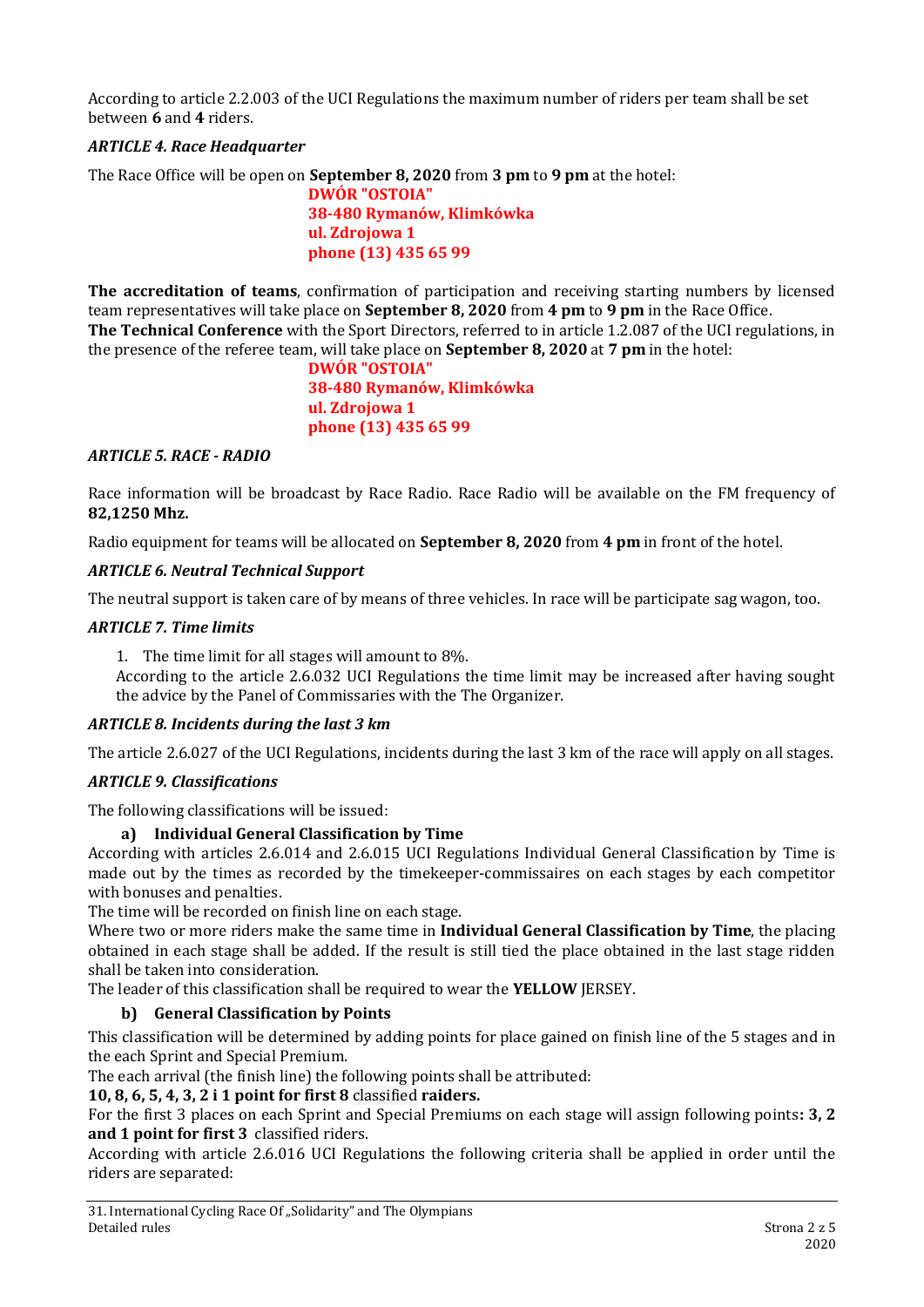According to article 2.2.003 of the UCI Regulations the maximum number of riders per team shall be set between **6** and **4** riders.

## *ARTICLE 4. Race Headquarter*

The Race Office will be open on **September 8, 2020** from **3 pm** to **9 pm** at the hotel:

**DWÓR "OSTOIA" 38-480 Rymanów, Klimkówka ul. Zdrojowa 1 phone (13) 435 65 99**

**The accreditation of teams**, confirmation of participation and receiving starting numbers by licensed team representatives will take place on **September 8, 2020** from **4 pm** to **9 pm** in the Race Office. **The Technical Conference** with the Sport Directors, referred to in article 1.2.087 of the UCI regulations, in the presence of the referee team, will take place on **September 8, 2020** at **7 pm** in the hotel:

> **DWÓR "OSTOIA" 38-480 Rymanów, Klimkówka ul. Zdrojowa 1 phone (13) 435 65 99**

### *ARTICLE 5. RACE - RADIO*

Race information will be broadcast by Race Radio. Race Radio will be available on the FM frequency of **82,1250 Mhz.**

Radio equipment for teams will be allocated on **September 8, 2020** from **4 pm** in front of the hotel.

### *ARTICLE 6. Neutral Technical Support*

The neutral support is taken care of by means of three vehicles. In race will be participate sag wagon, too.

### *ARTICLE 7. Time limits*

1. The time limit for all stages will amount to 8%.

According to the article 2.6.032 UCI Regulations the time limit may be increased after having sought the advice by the Panel of Commissaries with the The Organizer.

### *ARTICLE 8. Incidents during the last 3 km*

The article 2.6.027 of the UCI Regulations, incidents during the last 3 km of the race will apply on all stages.

### *ARTICLE 9. Classifications*

The following classifications will be issued:

### **a) Individual General Classification by Time**

According with articles 2.6.014 and 2.6.015 UCI Regulations Individual General Classification by Time is made out by the times as recorded by the timekeeper-commissaires on each stages by each competitor with bonuses and penalties.

The time will be recorded on finish line on each stage.

Where two or more riders make the same time in **Individual General Classification by Time**, the placing obtained in each stage shall be added. If the result is still tied the place obtained in the last stage ridden shall be taken into consideration.

The leader of this classification shall be required to wear the **YELLOW** JERSEY.

## **b) General Classification by Points**

This classification will be determined by adding points for place gained on finish line of the 5 stages and in the each Sprint and Special Premium.

The each arrival (the finish line) the following points shall be attributed:

### **10, 8, 6, 5, 4, 3, 2 i 1 point for first 8** classified **raiders.**

For the first 3 places on each Sprint and Special Premiums on each stage will assign following points**: 3, 2 and 1 point for first 3** classified riders.

According with article 2.6.016 UCI Regulations the following criteria shall be applied in order until the riders are separated: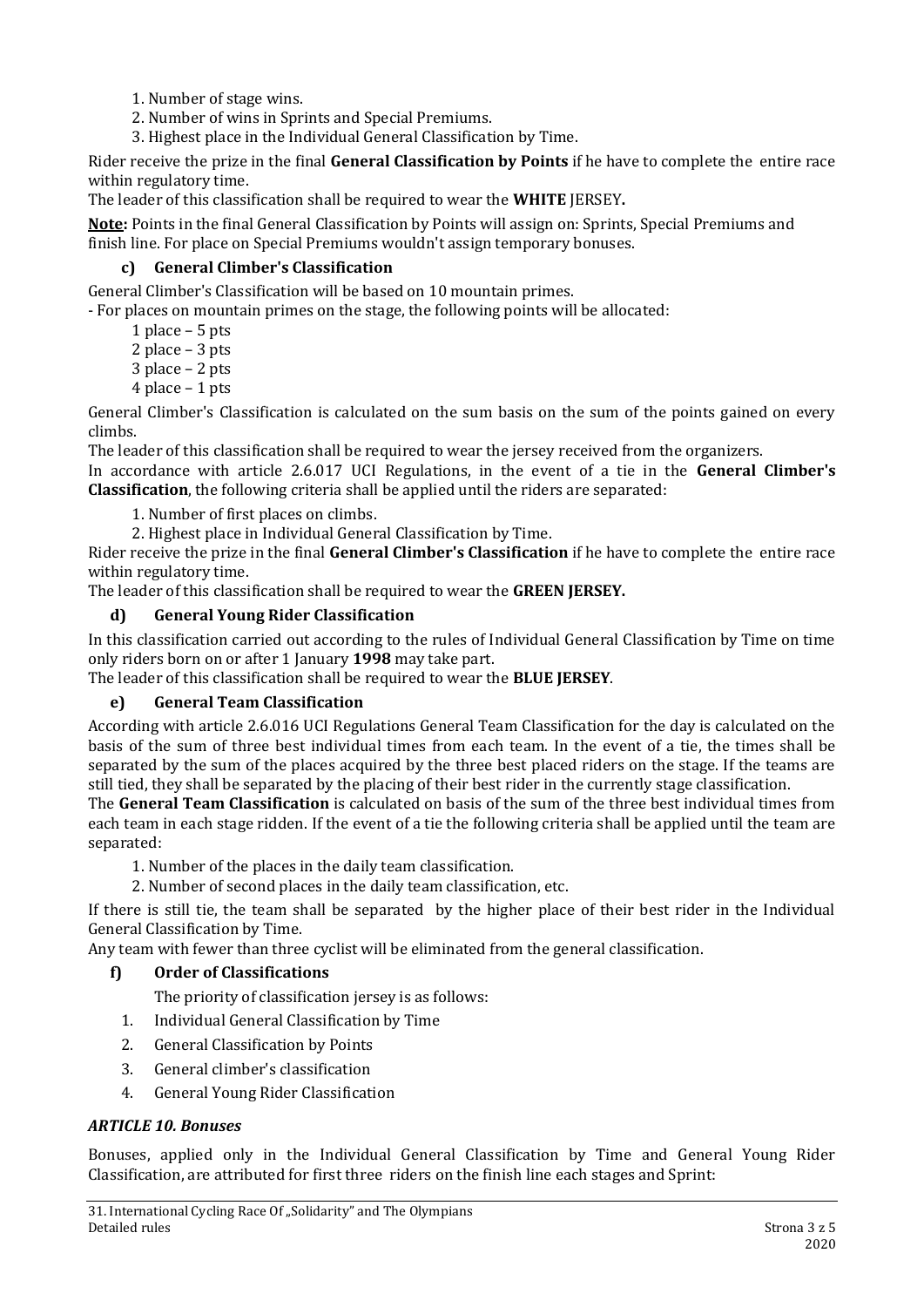- 1. Number of stage wins.
- 2. Number of wins in Sprints and Special Premiums.
- 3. Highest place in the Individual General Classification by Time.

Rider receive the prize in the final **General Classification by Points** if he have to complete the entire race within regulatory time.

The leader of this classification shall be required to wear the **WHITE** JERSEY**.**

**Note:** Points in the final General Classification by Points will assign on: Sprints, Special Premiums and finish line. For place on Special Premiums wouldn't assign temporary bonuses.

#### **c) General Climber's Classification**

General Climber's Classification will be based on 10 mountain primes.

- For places on mountain primes on the stage, the following points will be allocated:

1 place – 5 pts

2 place – 3 pts

- 3 place 2 pts
- 4 place 1 pts

General Climber's Classification is calculated on the sum basis on the sum of the points gained on every climbs.

The leader of this classification shall be required to wear the jersey received from the organizers.

In accordance with article 2.6.017 UCI Regulations, in the event of a tie in the **General Climber's Classification**, the following criteria shall be applied until the riders are separated:

1. Number of first places on climbs.

2. Highest place in Individual General Classification by Time.

Rider receive the prize in the final **General Climber's Classification** if he have to complete the entire race within regulatory time.

The leader of this classification shall be required to wear the **GREEN JERSEY.**

#### **d) General Young Rider Classification**

In this classification carried out according to the rules of Individual General Classification by Time on time only riders born on or after 1 January **1998** may take part.

The leader of this classification shall be required to wear the **BLUE JERSEY**.

### **e) General Team Classification**

According with article 2.6.016 UCI Regulations General Team Classification for the day is calculated on the basis of the sum of three best individual times from each team. In the event of a tie, the times shall be separated by the sum of the places acquired by the three best placed riders on the stage. If the teams are still tied, they shall be separated by the placing of their best rider in the currently stage classification.

The **General Team Classification** is calculated on basis of the sum of the three best individual times from each team in each stage ridden. If the event of a tie the following criteria shall be applied until the team are separated:

1. Number of the places in the daily team classification.

2. Number of second places in the daily team classification, etc.

If there is still tie, the team shall be separated by the higher place of their best rider in the Individual General Classification by Time.

Any team with fewer than three cyclist will be eliminated from the general classification.

### **f) Order of Classifications**

The priority of classification jersey is as follows:

- 1. Individual General Classification by Time
- 2. General Classification by Points
- 3. General climber's classification
- 4. General Young Rider Classification

### *ARTICLE 10. Bonuses*

Bonuses, applied only in the Individual General Classification by Time and General Young Rider Classification, are attributed for first three riders on the finish line each stages and Sprint: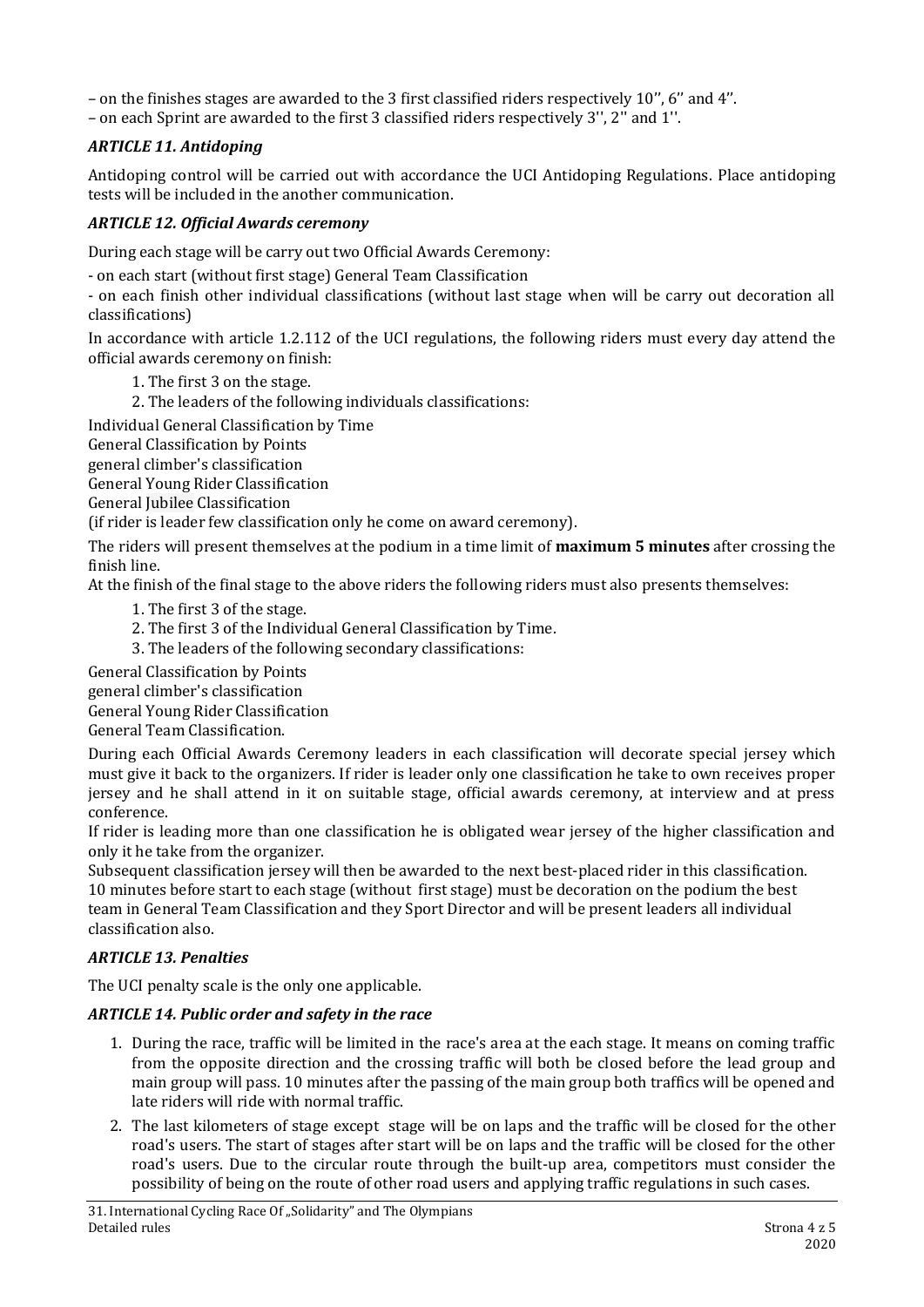– on the finishes stages are awarded to the 3 first classified riders respectively 10'', 6'' and 4''.

– on each Sprint are awarded to the first 3 classified riders respectively 3'', 2'' and 1''.

## *ARTICLE 11. Antidoping*

Antidoping control will be carried out with accordance the UCI Antidoping Regulations. Place antidoping tests will be included in the another communication.

## *ARTICLE 12. Official Awards ceremony*

During each stage will be carry out two Official Awards Ceremony:

- on each start (without first stage) General Team Classification

- on each finish other individual classifications (without last stage when will be carry out decoration all classifications)

In accordance with article 1.2.112 of the UCI regulations, the following riders must every day attend the official awards ceremony on finish:

1. The first 3 on the stage.

2. The leaders of the following individuals classifications:

Individual General Classification by Time

General Classification by Points

general climber's classification

General Young Rider Classification

General Jubilee Classification

(if rider is leader few classification only he come on award ceremony).

The riders will present themselves at the podium in a time limit of **maximum 5 minutes** after crossing the finish line.

At the finish of the final stage to the above riders the following riders must also presents themselves:

- 1. The first 3 of the stage.
- 2. The first 3 of the Individual General Classification by Time.
- 3. The leaders of the following secondary classifications:

General Classification by Points

general climber's classification

General Young Rider Classification

General Team Classification.

During each Official Awards Ceremony leaders in each classification will decorate special jersey which must give it back to the organizers. If rider is leader only one classification he take to own receives proper jersey and he shall attend in it on suitable stage, official awards ceremony, at interview and at press conference.

If rider is leading more than one classification he is obligated wear jersey of the higher classification and only it he take from the organizer.

Subsequent classification jersey will then be awarded to the next best-placed rider in this classification. 10 minutes before start to each stage (without first stage) must be decoration on the podium the best team in General Team Classification and they Sport Director and will be present leaders all individual classification also.

### *ARTICLE 13. Penalties*

The UCI penalty scale is the only one applicable.

### *ARTICLE 14. Public order and safety in the race*

- 1. During the race, traffic will be limited in the race's area at the each stage. It means on coming traffic from the opposite direction and the crossing traffic will both be closed before the lead group and main group will pass. 10 minutes after the passing of the main group both traffics will be opened and late riders will ride with normal traffic.
- 2. The last kilometers of stage except stage will be on laps and the traffic will be closed for the other road's users. The start of stages after start will be on laps and the traffic will be closed for the other road's users. Due to the circular route through the built-up area, competitors must consider the possibility of being on the route of other road users and applying traffic regulations in such cases.